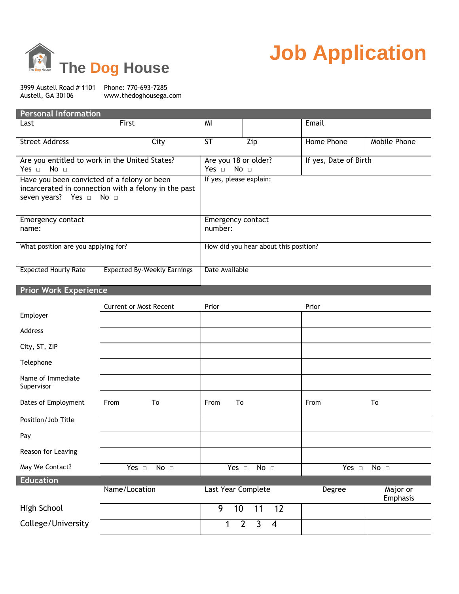

## **Job Application**

3999 Austell Road # 1101 Phone: 770-693-7285<br>Austell, GA 30106 Www.thedoghousega. www.thedoghousega.com

| <b>Personal Information</b>                                                                                                                       |                                    |                                                       |                                                             |                       |                      |  |
|---------------------------------------------------------------------------------------------------------------------------------------------------|------------------------------------|-------------------------------------------------------|-------------------------------------------------------------|-----------------------|----------------------|--|
| Last                                                                                                                                              | First                              | MI                                                    |                                                             | Email                 |                      |  |
| <b>Street Address</b>                                                                                                                             | City                               | <b>ST</b>                                             | Zip                                                         | <b>Home Phone</b>     | Mobile Phone         |  |
| Are you entitled to work in the United States?<br>Yes $\Box$<br>No <sub>1</sub>                                                                   |                                    | Are you 18 or older?<br>Yes $\Box$<br>No <sub>1</sub> |                                                             | If yes, Date of Birth |                      |  |
| Have you been convicted of a felony or been<br>incarcerated in connection with a felony in the past<br>seven years? Yes $\Box$<br>No <sub>1</sub> |                                    | If yes, please explain:                               |                                                             |                       |                      |  |
| Emergency contact<br>name:                                                                                                                        |                                    | <b>Emergency contact</b><br>number:                   |                                                             |                       |                      |  |
| What position are you applying for?                                                                                                               |                                    | How did you hear about this position?                 |                                                             |                       |                      |  |
| <b>Expected Hourly Rate</b>                                                                                                                       | <b>Expected By-Weekly Earnings</b> | Date Available                                        |                                                             |                       |                      |  |
| <b>Prior Work Experience</b>                                                                                                                      |                                    |                                                       |                                                             |                       |                      |  |
| Employer                                                                                                                                          | <b>Current or Most Recent</b>      | Prior                                                 |                                                             | Prior                 |                      |  |
| <b>Address</b>                                                                                                                                    |                                    |                                                       |                                                             |                       |                      |  |
| City, ST, ZIP                                                                                                                                     |                                    |                                                       |                                                             |                       |                      |  |
| Telephone                                                                                                                                         |                                    |                                                       |                                                             |                       |                      |  |
| Name of Immediate<br>Supervisor                                                                                                                   |                                    |                                                       |                                                             |                       |                      |  |
| Dates of Employment                                                                                                                               | To<br>From                         | To<br>From                                            |                                                             | From                  | To                   |  |
| Position/Job Title                                                                                                                                |                                    |                                                       |                                                             |                       |                      |  |
| Pay                                                                                                                                               |                                    |                                                       |                                                             |                       |                      |  |
| Reason for Leaving                                                                                                                                |                                    |                                                       |                                                             |                       |                      |  |
| May We Contact?                                                                                                                                   | Yes $\square$<br>No <sub>1</sub>   | Yes $\Box$                                            | No <sub>1</sub>                                             | Yes $\Box$            | No <sub>1</sub>      |  |
| <b>Education</b>                                                                                                                                  | Name/Location                      | <b>Last Year Complete</b>                             |                                                             | <b>Degree</b>         | Major or<br>Emphasis |  |
| High School                                                                                                                                       |                                    | 9<br>10                                               | 11<br>12                                                    |                       |                      |  |
| College/University                                                                                                                                |                                    | 1                                                     | $\overline{3}$<br>$\overline{2}$<br>$\overline{\mathbf{4}}$ |                       |                      |  |